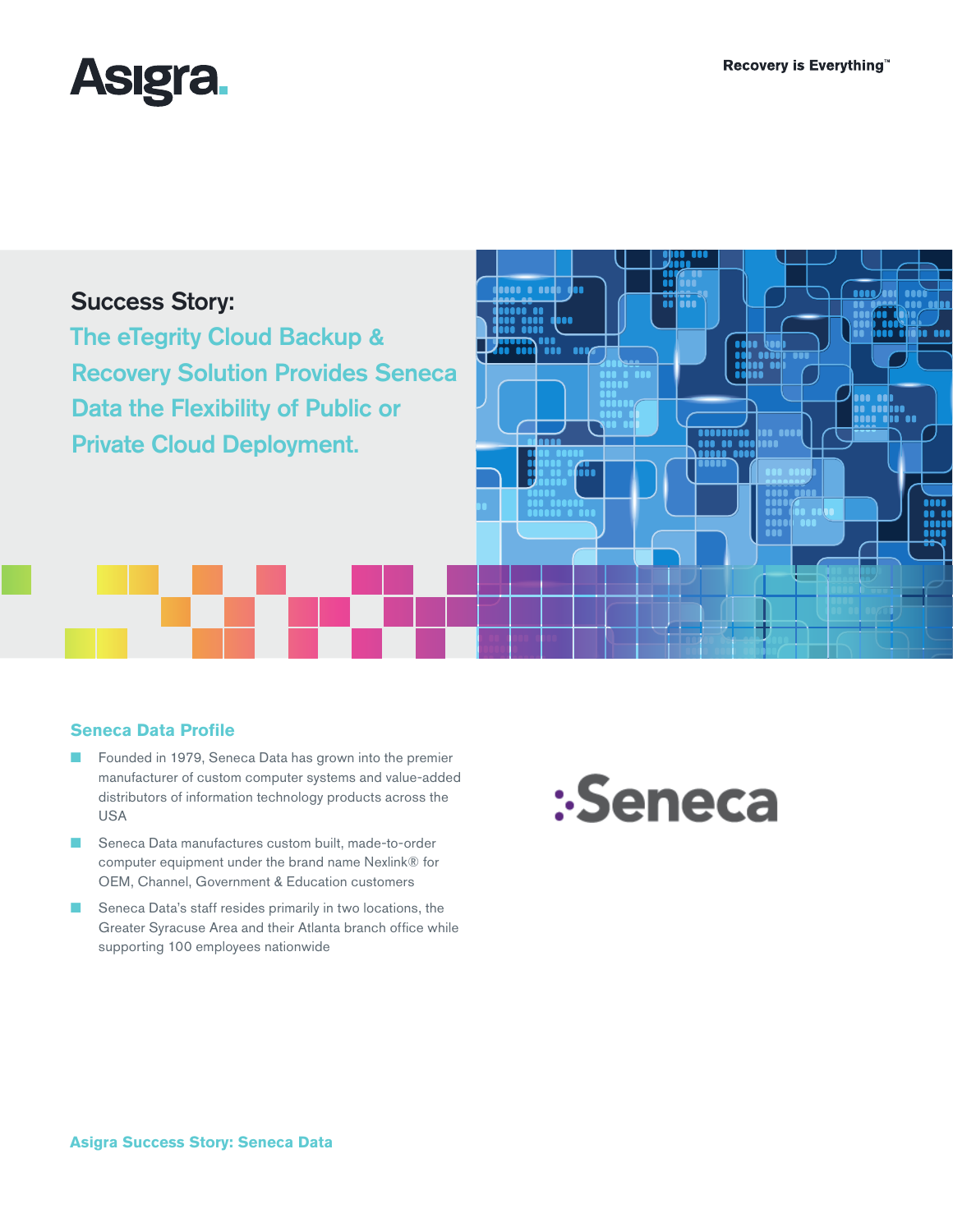in an



# Success Story:

The eTegrity Cloud Backup & Recovery Solution Provides Seneca Data the Flexibility of Public or Private Cloud Deployment.

# **Seneca Data Profile**

- Founded in 1979, Seneca Data has grown into the premier manufacturer of custom computer systems and value-added distributors of information technology products across the USA
- Seneca Data manufactures custom built, made-to-order computer equipment under the brand name Nexlink® for OEM, Channel, Government & Education customers
- Seneca Data's staff resides primarily in two locations, the Greater Syracuse Area and their Atlanta branch office while supporting 100 employees nationwide



n.

Ħ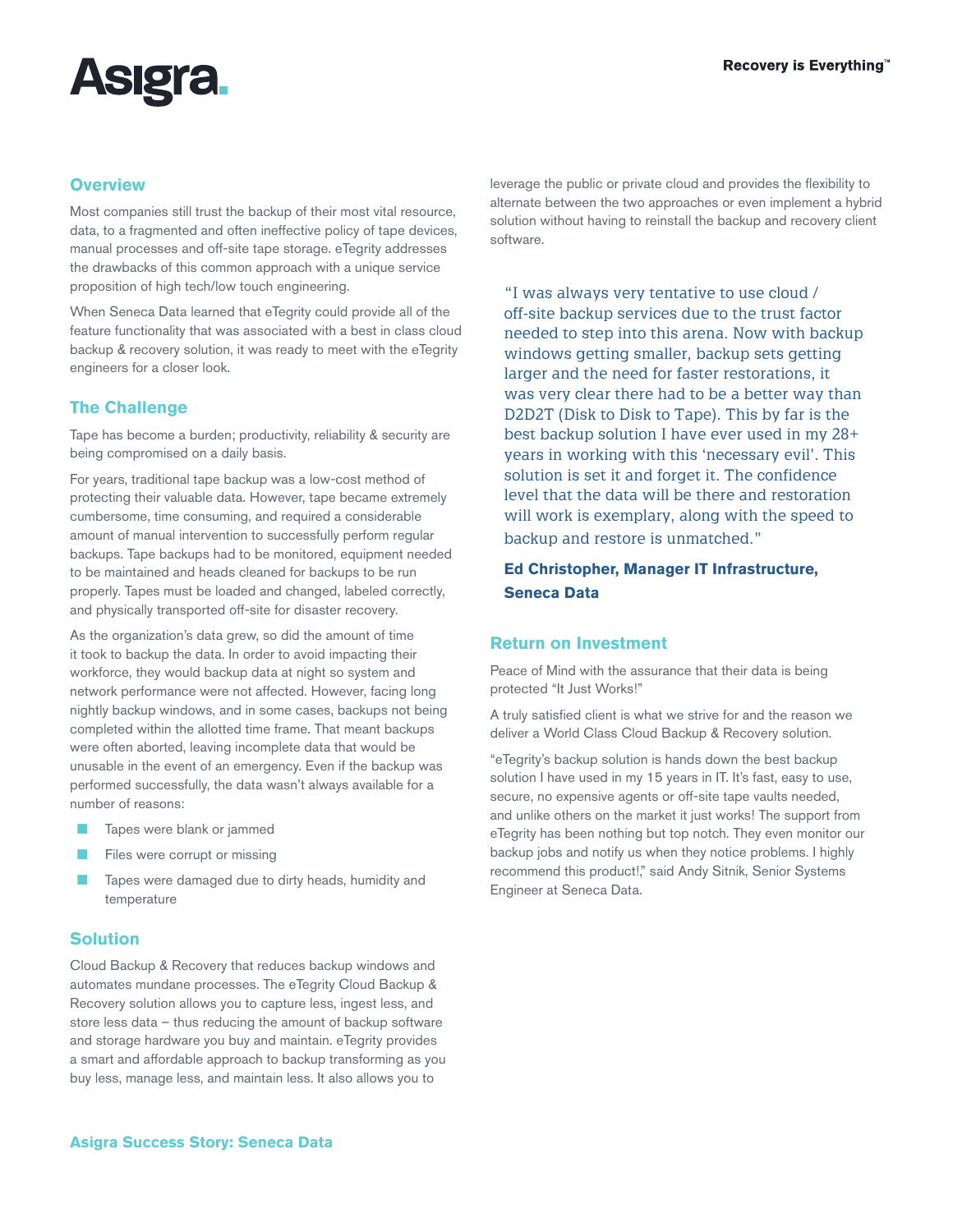

### **Overview**

Most companies still trust the backup of their most vital resource, data, to a fragmented and often ineffective policy of tape devices, manual processes and off-site tape storage. eTegrity addresses the drawbacks of this common approach with a unique service proposition of high tech/low touch engineering.

When Seneca Data learned that eTegrity could provide all of the feature functionality that was associated with a best in class cloud backup & recovery solution, it was ready to meet with the eTegrity engineers for a closer look.

# **The Challenge**

Tape has become a burden; productivity, reliability & security are being compromised on a daily basis.

For years, traditional tape backup was a low-cost method of protecting their valuable data. However, tape became extremely cumbersome, time consuming, and required a considerable amount of manual intervention to successfully perform regular backups. Tape backups had to be monitored, equipment needed to be maintained and heads cleaned for backups to be run properly. Tapes must be loaded and changed, labeled correctly, and physically transported off-site for disaster recovery.

As the organization's data grew, so did the amount of time it took to backup the data. In order to avoid impacting their workforce, they would backup data at night so system and network performance were not affected. However, facing long nightly backup windows, and in some cases, backups not being completed within the allotted time frame. That meant backups were often aborted, leaving incomplete data that would be unusable in the event of an emergency. Even if the backup was performed successfully, the data wasn't always available for a number of reasons:

- Tapes were blank or jammed
- Files were corrupt or missing
- Tapes were damaged due to dirty heads, humidity and temperature

# **Solution**

Cloud Backup & Recovery that reduces backup windows and automates mundane processes. The eTegrity Cloud Backup & Recovery solution allows you to capture less, ingest less, and store less data – thus reducing the amount of backup software and storage hardware you buy and maintain. eTegrity provides a smart and affordable approach to backup transforming as you buy less, manage less, and maintain less. It also allows you to

leverage the public or private cloud and provides the flexibility to alternate between the two approaches or even implement a hybrid solution without having to reinstall the backup and recovery client software.

"I was always very tentative to use cloud / off-site backup services due to the trust factor needed to step into this arena. Now with backup windows getting smaller, backup sets getting larger and the need for faster restorations, it was very clear there had to be a better way than D2D2T (Disk to Disk to Tape). This by far is the best backup solution I have ever used in my 28+ years in working with this 'necessary evil'. This solution is set it and forget it. The confidence level that the data will be there and restoration will work is exemplary, along with the speed to backup and restore is unmatched."

# **Ed Christopher, Manager IT Infrastructure, Seneca Data**

#### **Return on Investment**

Peace of Mind with the assurance that their data is being protected "It Just Works!"

A truly satisfied client is what we strive for and the reason we deliver a World Class Cloud Backup & Recovery solution.

"eTegrity's backup solution is hands down the best backup solution I have used in my 15 years in IT. It's fast, easy to use, secure, no expensive agents or off-site tape vaults needed, and unlike others on the market it just works! The support from eTegrity has been nothing but top notch. They even monitor our backup jobs and notify us when they notice problems. I highly recommend this product!," said Andy Sitnik, Senior Systems Engineer at Seneca Data.